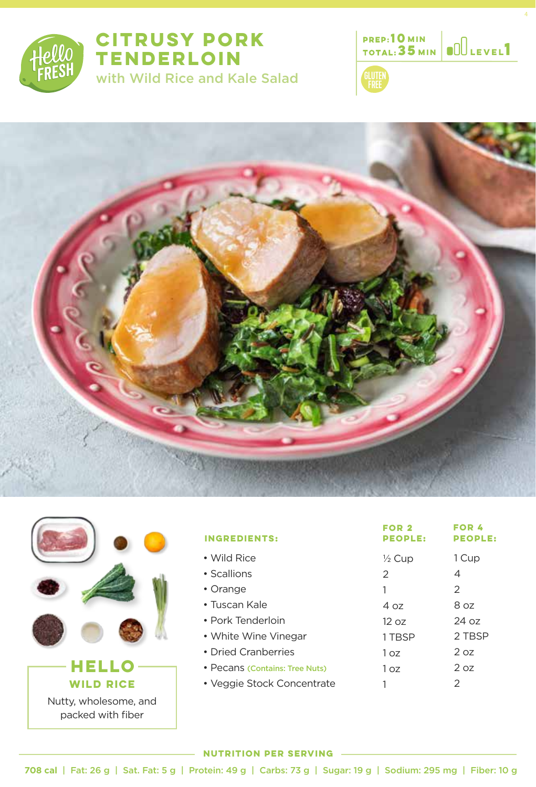

# **CITRUSY PORK TENDERLOIN**  with Wild Rice and Kale Salad









packed with fiber

| <b>INGREDIENTS:</b>            | FOR 2<br><b>PEOPLE:</b> | FOR 4<br><b>PEOPLE:</b> |
|--------------------------------|-------------------------|-------------------------|
| • Wild Rice                    | $\frac{1}{2}$ Cup       | 1 Cup                   |
| • Scallions                    | 2                       | 4                       |
| • Orange                       | 1                       | 2                       |
| $\cdot$ Tuscan Kale            | 4 oz                    | 8 oz                    |
| • Pork Tenderloin              | 12 oz                   | 24 oz                   |
| • White Wine Vinegar           | 1 TBSP                  | 2 TBSP                  |
| • Dried Cranberries            | 1 oz                    | 2 oz                    |
| • Pecans (Contains: Tree Nuts) | 1 <sub>oz</sub>         | 2 oz                    |
| • Veggie Stock Concentrate     |                         | 2                       |

#### **NUTRITION PER SERVING**